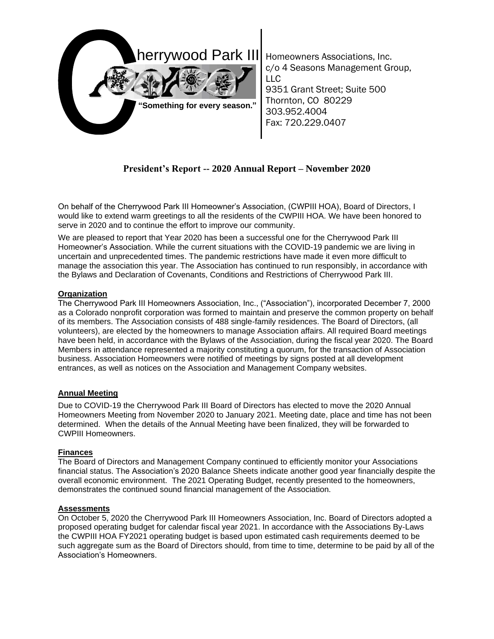

Homeowners Associations, Inc. c/o 4 Seasons Management Group, LLC 9351 Grant Street; Suite 500 Thornton, CO 80229 303.952.4004 Fax: 720.229.0407

# **President's Report -- 2020 Annual Report – November 2020**

On behalf of the Cherrywood Park III Homeowner's Association, (CWPIII HOA), Board of Directors, I would like to extend warm greetings to all the residents of the CWPIII HOA. We have been honored to serve in 2020 and to continue the effort to improve our community.

We are pleased to report that Year 2020 has been a successful one for the Cherrywood Park III Homeowner's Association. While the current situations with the COVID-19 pandemic we are living in uncertain and unprecedented times. The pandemic restrictions have made it even more difficult to manage the association this year. The Association has continued to run responsibly, in accordance with the Bylaws and Declaration of Covenants, Conditions and Restrictions of Cherrywood Park III.

## **Organization**

The Cherrywood Park III Homeowners Association, Inc., ("Association"), incorporated December 7, 2000 as a Colorado nonprofit corporation was formed to maintain and preserve the common property on behalf of its members. The Association consists of 488 single-family residences. The Board of Directors, (all volunteers), are elected by the homeowners to manage Association affairs. All required Board meetings have been held, in accordance with the Bylaws of the Association, during the fiscal year 2020. The Board Members in attendance represented a majority constituting a quorum, for the transaction of Association business. Association Homeowners were notified of meetings by signs posted at all development entrances, as well as notices on the Association and Management Company websites.

# **Annual Meeting**

Due to COVID-19 the Cherrywood Park III Board of Directors has elected to move the 2020 Annual Homeowners Meeting from November 2020 to January 2021. Meeting date, place and time has not been determined. When the details of the Annual Meeting have been finalized, they will be forwarded to CWPIII Homeowners.

# **Finances**

The Board of Directors and Management Company continued to efficiently monitor your Associations financial status. The Association's 2020 Balance Sheets indicate another good year financially despite the overall economic environment. The 2021 Operating Budget, recently presented to the homeowners, demonstrates the continued sound financial management of the Association.

#### **Assessments**

On October 5, 2020 the Cherrywood Park III Homeowners Association, Inc. Board of Directors adopted a proposed operating budget for calendar fiscal year 2021. In accordance with the Associations By-Laws the CWPIII HOA FY2021 operating budget is based upon estimated cash requirements deemed to be such aggregate sum as the Board of Directors should, from time to time, determine to be paid by all of the Association's Homeowners.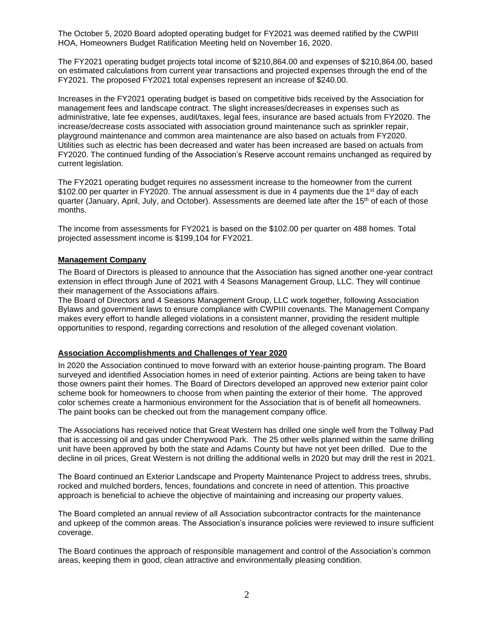The October 5, 2020 Board adopted operating budget for FY2021 was deemed ratified by the CWPIII HOA, Homeowners Budget Ratification Meeting held on November 16, 2020.

The FY2021 operating budget projects total income of \$210,864.00 and expenses of \$210,864.00, based on estimated calculations from current year transactions and projected expenses through the end of the FY2021. The proposed FY2021 total expenses represent an increase of \$240.00.

Increases in the FY2021 operating budget is based on competitive bids received by the Association for management fees and landscape contract. The slight increases/decreases in expenses such as administrative, late fee expenses, audit/taxes, legal fees, insurance are based actuals from FY2020. The increase/decrease costs associated with association ground maintenance such as sprinkler repair, playground maintenance and common area maintenance are also based on actuals from FY2020. Utilities such as electric has been decreased and water has been increased are based on actuals from FY2020. The continued funding of the Association's Reserve account remains unchanged as required by current legislation.

The FY2021 operating budget requires no assessment increase to the homeowner from the current \$102.00 per quarter in FY2020. The annual assessment is due in 4 payments due the 1<sup>st</sup> day of each quarter (January, April, July, and October). Assessments are deemed late after the 15<sup>th</sup> of each of those months.

The income from assessments for FY2021 is based on the \$102.00 per quarter on 488 homes. Total projected assessment income is \$199,104 for FY2021.

#### **Management Company**

The Board of Directors is pleased to announce that the Association has signed another one-year contract extension in effect through June of 2021 with 4 Seasons Management Group, LLC. They will continue their management of the Associations affairs.

The Board of Directors and 4 Seasons Management Group, LLC work together, following Association Bylaws and government laws to ensure compliance with CWPIII covenants. The Management Company makes every effort to handle alleged violations in a consistent manner, providing the resident multiple opportunities to respond, regarding corrections and resolution of the alleged covenant violation.

#### **Association Accomplishments and Challenges of Year 2020**

In 2020 the Association continued to move forward with an exterior house-painting program. The Board surveyed and identified Association homes in need of exterior painting. Actions are being taken to have those owners paint their homes. The Board of Directors developed an approved new exterior paint color scheme book for homeowners to choose from when painting the exterior of their home. The approved color schemes create a harmonious environment for the Association that is of benefit all homeowners. The paint books can be checked out from the management company office.

The Associations has received notice that Great Western has drilled one single well from the Tollway Pad that is accessing oil and gas under Cherrywood Park. The 25 other wells planned within the same drilling unit have been approved by both the state and Adams County but have not yet been drilled. Due to the decline in oil prices, Great Western is not drilling the additional wells in 2020 but may drill the rest in 2021.

The Board continued an Exterior Landscape and Property Maintenance Project to address trees, shrubs, rocked and mulched borders, fences, foundations and concrete in need of attention. This proactive approach is beneficial to achieve the objective of maintaining and increasing our property values.

The Board completed an annual review of all Association subcontractor contracts for the maintenance and upkeep of the common areas. The Association's insurance policies were reviewed to insure sufficient coverage.

The Board continues the approach of responsible management and control of the Association's common areas, keeping them in good, clean attractive and environmentally pleasing condition.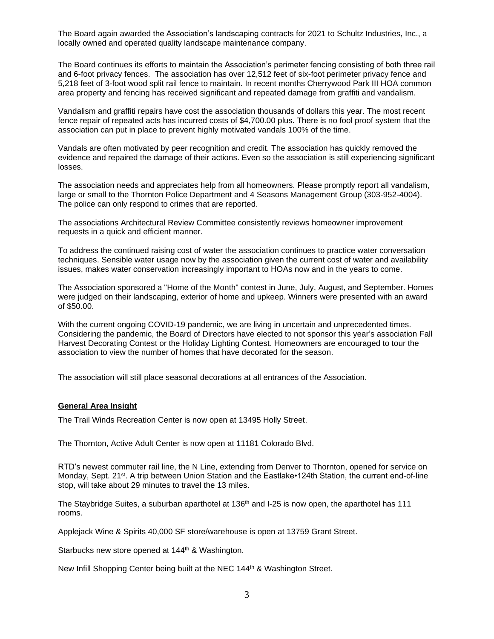The Board again awarded the Association's landscaping contracts for 2021 to Schultz Industries, Inc., a locally owned and operated quality landscape maintenance company.

The Board continues its efforts to maintain the Association's perimeter fencing consisting of both three rail and 6-foot privacy fences. The association has over 12,512 feet of six-foot perimeter privacy fence and 5,218 feet of 3-foot wood split rail fence to maintain. In recent months Cherrywood Park III HOA common area property and fencing has received significant and repeated damage from graffiti and vandalism.

Vandalism and graffiti repairs have cost the association thousands of dollars this year. The most recent fence repair of repeated acts has incurred costs of \$4,700.00 plus. There is no fool proof system that the association can put in place to prevent highly motivated vandals 100% of the time.

Vandals are often motivated by peer recognition and credit. The association has quickly removed the evidence and repaired the damage of their actions. Even so the association is still experiencing significant losses.

The association needs and appreciates help from all homeowners. Please promptly report all vandalism, large or small to the Thornton Police Department and 4 Seasons Management Group (303-952-4004). The police can only respond to crimes that are reported.

The associations Architectural Review Committee consistently reviews homeowner improvement requests in a quick and efficient manner.

To address the continued raising cost of water the association continues to practice water conversation techniques. Sensible water usage now by the association given the current cost of water and availability issues, makes water conservation increasingly important to HOAs now and in the years to come.

The Association sponsored a "Home of the Month" contest in June, July, August, and September. Homes were judged on their landscaping, exterior of home and upkeep. Winners were presented with an award of \$50.00.

With the current ongoing COVID-19 pandemic, we are living in uncertain and unprecedented times. Considering the pandemic, the Board of Directors have elected to not sponsor this year's association Fall Harvest Decorating Contest or the Holiday Lighting Contest. Homeowners are encouraged to tour the association to view the number of homes that have decorated for the season.

The association will still place seasonal decorations at all entrances of the Association.

#### **General Area Insight**

The Trail Winds Recreation Center is now open at 13495 Holly Street.

The Thornton, Active Adult Center is now open at 11181 Colorado Blvd.

RTD's newest commuter rail line, the N Line, extending from Denver to Thornton, opened for service on Monday, Sept. 21st. A trip between Union Station and the Eastlake•124th Station, the current end-of-line stop, will take about 29 minutes to travel the 13 miles.

The Staybridge Suites, a suburban aparthotel at 136<sup>th</sup> and I-25 is now open, the aparthotel has 111 rooms.

Applejack Wine & Spirits 40,000 SF store/warehouse is open at 13759 Grant Street.

Starbucks new store opened at 144<sup>th</sup> & Washington.

New Infill Shopping Center being built at the NEC 144<sup>th</sup> & Washington Street.